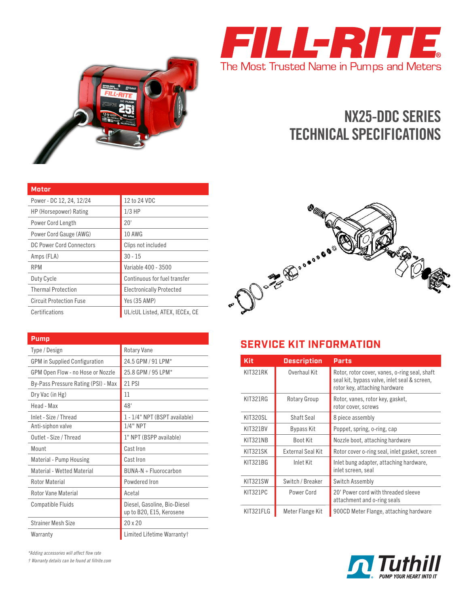



# **NX25-DDC SERIES TECHNICAL SPECIFICATIONS**

| <b>Motor</b>                    |                                 |
|---------------------------------|---------------------------------|
| Power - DC 12, 24, 12/24        | 12 to 24 VDC                    |
| HP (Horsepower) Rating          | $1/3$ HP                        |
| Power Cord Length               | 20'                             |
| Power Cord Gauge (AWG)          | <b>10 AWG</b>                   |
| <b>DC Power Cord Connectors</b> | Clips not included              |
| Amps (FLA)                      | $30 - 15$                       |
| <b>RPM</b>                      | Variable 400 - 3500             |
| Duty Cycle                      | Continuous for fuel transfer    |
| <b>Thermal Protection</b>       | <b>Electronically Protected</b> |
| <b>Circuit Protection Fuse</b>  | Yes (35 AMP)                    |
| Certifications                  | UL/cUL Listed, ATEX, IECEx, CE  |



| Pump                                 |                                                          |
|--------------------------------------|----------------------------------------------------------|
| Type / Design                        | <b>Rotary Vane</b>                                       |
| <b>GPM</b> in Supplied Configuration | 24.5 GPM / 91 LPM*                                       |
| GPM Open Flow - no Hose or Nozzle    | 25.8 GPM / 95 LPM*                                       |
| By-Pass Pressure Rating (PSI) - Max  | <b>21 PSI</b>                                            |
| Dry Vac (in Hg)                      | 11                                                       |
| Head - Max                           | 48'                                                      |
| Inlet - Size / Thread                | 1 - 1/4" NPT (BSPT available)                            |
| Anti-siphon valve                    | $1/4"$ NPT                                               |
| Outlet - Size / Thread               | 1" NPT (BSPP available)                                  |
| Mount                                | Cast Iron                                                |
| Material - Pump Housing              | Cast Iron                                                |
| Material - Wetted Material           | $BIINA-N + Fluorocarbon$                                 |
| Rotor Material                       | Powdered Iron                                            |
| Rotor Vane Material                  | Acetal                                                   |
| <b>Compatible Fluids</b>             | Diesel, Gasoline, Bio-Diesel<br>up to B20, E15, Kerosene |
| Strainer Mesh Size                   | 20x20                                                    |
| Warranty                             | Limited Lifetime Warranty†                               |

### **SERVICE KIT INFORMATION**

| Kit       | <b>Description</b> | <b>Parts</b>                                                                                                                   |
|-----------|--------------------|--------------------------------------------------------------------------------------------------------------------------------|
| KIT321RK  | Overhaul Kit       | Rotor, rotor cover, vanes, o-ring seal, shaft<br>seal kit, bypass valve, inlet seal & screen,<br>rotor key, attaching hardware |
| KIT321RG  | Rotary Group       | Rotor, vanes, rotor key, gasket,<br>rotor cover, screws                                                                        |
| KIT320SL  | Shaft Seal         | 8 piece assembly                                                                                                               |
| KIT321BV  | <b>Bypass Kit</b>  | Poppet, spring, o-ring, cap                                                                                                    |
| KIT321NB  | Boot Kit           | Nozzle boot, attaching hardware                                                                                                |
| KIT321SK  | External Seal Kit  | Rotor cover o-ring seal, inlet gasket, screen                                                                                  |
| KIT321BG  | Inlet Kit          | Inlet bung adapter, attaching hardware,<br>inlet screen, seal                                                                  |
| KIT321SW  | Switch / Breaker   | Switch Assembly                                                                                                                |
| KIT321PC  | Power Cord         | 20' Power cord with threaded sleeve<br>attachment and o-ring seals                                                             |
| KIT321FLG | Meter Flange Kit   | 900CD Meter Flange, attaching hardware                                                                                         |



*\*Adding accessories will affect flow rate*

*† Warranty details can be found at fillrite.com*